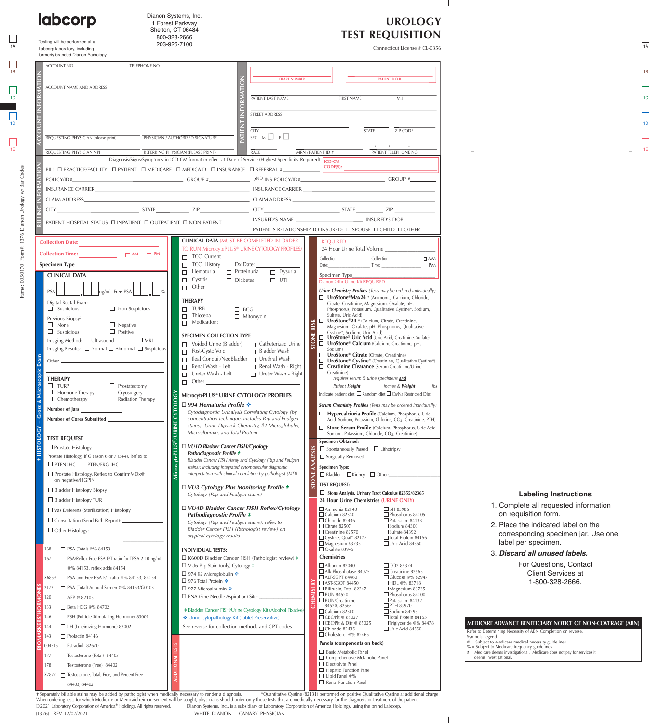| Dianon Systems, Inc.<br><b>labcorp</b><br>1 Forest Parkway<br>Shelton, CT 06484<br>800-328-2666       |                                                                                                                                             |                                                                                                                                                                 | <b>UROLOGY</b><br><b>TEST REQUISITION</b>                                                                                                                                                                                                                                                                                                                                |                                                                                                                               |
|-------------------------------------------------------------------------------------------------------|---------------------------------------------------------------------------------------------------------------------------------------------|-----------------------------------------------------------------------------------------------------------------------------------------------------------------|--------------------------------------------------------------------------------------------------------------------------------------------------------------------------------------------------------------------------------------------------------------------------------------------------------------------------------------------------------------------------|-------------------------------------------------------------------------------------------------------------------------------|
| Testing will be performed at a<br>Labcorp laboratory, including<br>formerly branded Dianon Pathology. | 203-926-7100                                                                                                                                |                                                                                                                                                                 | Connecticut License # CL-0356                                                                                                                                                                                                                                                                                                                                            |                                                                                                                               |
| ACCOUNT NO.                                                                                           | TELEPHONE NO.                                                                                                                               | <b>CHART NUMBER</b>                                                                                                                                             | PATIENT D.O.B.                                                                                                                                                                                                                                                                                                                                                           |                                                                                                                               |
| ACCOUNT NAME AND ADDRESS                                                                              |                                                                                                                                             | PATIENT LAST NAME                                                                                                                                               | <b>FIRST NAME</b><br>M.I.                                                                                                                                                                                                                                                                                                                                                |                                                                                                                               |
|                                                                                                       |                                                                                                                                             | STREET ADDRESS                                                                                                                                                  |                                                                                                                                                                                                                                                                                                                                                                          |                                                                                                                               |
| REQUESTING PHYSICIAN (please print)                                                                   | PHYSICIAN / AUTHORIZED SIGNATURE                                                                                                            | <b>CITY</b><br>SEX $M \Box F$                                                                                                                                   | ZIP CODE<br><b>STATE</b>                                                                                                                                                                                                                                                                                                                                                 |                                                                                                                               |
| REQUESTING PHYSICIAN NPI                                                                              | REFERRING PHYSICIAN (PLEASE PRINT)<br>Diagnosis/Signs/Symptoms in ICD-CM format in effect at Date of Service (Highest Specificity Required) | <b>RACE</b>                                                                                                                                                     | $\left( \begin{array}{cc} 1 & 1 \end{array} \right)$<br>PATIENT TELEPHONE NO.<br>MRN / PATIENT ID #                                                                                                                                                                                                                                                                      |                                                                                                                               |
|                                                                                                       | BILL: <b>O PRACTICE/FACILITY O PATIENT O MEDICARE O MEDICAID O INSURANCE O REFERRAL</b> #_______________                                    |                                                                                                                                                                 | $\overline{\text{CODE(S)}}$                                                                                                                                                                                                                                                                                                                                              |                                                                                                                               |
|                                                                                                       |                                                                                                                                             |                                                                                                                                                                 |                                                                                                                                                                                                                                                                                                                                                                          |                                                                                                                               |
| CITY                                                                                                  |                                                                                                                                             |                                                                                                                                                                 | $\overline{C}$ STATE $\overline{C}$ STATE $\overline{C}$ $\overline{C}$ $\overline{C}$ $\overline{C}$ $\overline{C}$ $\overline{C}$ $\overline{C}$ $\overline{C}$ $\overline{C}$ $\overline{C}$ $\overline{C}$ $\overline{C}$ $\overline{C}$ $\overline{C}$ $\overline{C}$ $\overline{C}$ $\overline{C}$ $\overline{C}$ $\overline{C}$ $\overline{C}$ $\overline{C}$ $\$ |                                                                                                                               |
|                                                                                                       | PATIENT HOSPITAL STATUS □ INPATIENT □ OUTPATIENT □ NON-PATIENT                                                                              |                                                                                                                                                                 | PATIENT'S RELATIONSHIP TO INSURED: □ SPOUSE □ CHILD □ OTHER                                                                                                                                                                                                                                                                                                              |                                                                                                                               |
| <b>Collection Date:</b>                                                                               |                                                                                                                                             | <b>CLINICAL DATA (MUST BE COMPLETED IN ORDER</b><br>TO RUN MicrocytePLUS® URINE CYTOLOGY PROFILES)                                                              | <b>REQUIRED</b><br>24 Hour Urine Total Volume                                                                                                                                                                                                                                                                                                                            |                                                                                                                               |
| <b>Collection Time:</b><br>$\Box$ AM $\Box$ PM<br>Specimen Type                                       | $\Box$ TCC, Current<br>$\Box$ TCC, History                                                                                                  | Dx Date:                                                                                                                                                        | Collection<br>Collection<br>$\Box$ AM<br>$Time: \underline{\hspace{2cm}} \underline{\hspace{2cm}}$<br>Date: <b>Date:</b><br>$\square$ PM                                                                                                                                                                                                                                 |                                                                                                                               |
| <b>CLINICAL DATA</b>                                                                                  | $\Box$ Hematuria<br>Cystitis<br>$\Box$<br>Other                                                                                             | $\Box$ Proteinuria<br>$\Box$ Dysuria<br>$\Box$ UTI<br>$\Box$ Diabetes                                                                                           | Specimen Type____<br>Dianon 24hr Urine Kit REQUIRED                                                                                                                                                                                                                                                                                                                      |                                                                                                                               |
| <b>PSA</b><br>g/ml Free PSA<br>Digital Rectal Exam                                                    | $\Box$<br>THERAPY                                                                                                                           |                                                                                                                                                                 | Urine Chemistry Profiles (Tests may be ordered individually)<br>$\Box$ UroStone®Max24 * (Ammonia, Calcium, Chloride,                                                                                                                                                                                                                                                     |                                                                                                                               |
| $\Box$ Suspicious                                                                                     | $\Box$ Non-Suspicious<br>$\Box$ TURB<br>$\Box$ Thiotepa                                                                                     | $\Box$ BCG<br>$\Box$ Mitomycin                                                                                                                                  | Citrate, Creatinine, Magnesium, Oxalate, pH,<br>Phosphorus, Potassium, Qualitative Cystine*, Sodium,<br>Sulfate, Uric Acid)                                                                                                                                                                                                                                              |                                                                                                                               |
| Previous Biopsy?<br>$\Box$ Negative<br>$\Box$ None<br>$\Box$ Suspicious<br>$\Box$ Positive            | $\Box$ Medication:                                                                                                                          |                                                                                                                                                                 | □ UroStone®24 * (Calcium, Citrate, Creatinine,<br>RISK<br>Magnesium, Oxalate, pH, Phosphorus, Qualitative<br>Cystine*, Sodium, Uric Acid)                                                                                                                                                                                                                                |                                                                                                                               |
| Imaging Method: Ultrasound                                                                            | <b>SPECIMEN COLLECTION TYPE</b><br>$\Box$ MRI<br>Voided Urine (Bladder)                                                                     | $\Box$ Catheterized Urine                                                                                                                                       | <b>TONE</b><br>□ UroStone® Uric Acid (Uric Acid, Creatinine, Sulfate)<br>$\Box$ UroStone® Calcium (Calcium, Creatinine, pH,                                                                                                                                                                                                                                              |                                                                                                                               |
| Imaging Results: □ Normal □ Abnormal □ Suspicious<br>Other $\mathbf{-}$                               | Post-Cysto Void                                                                                                                             | $\Box$ Bladder Wash<br>□ Ileal Conduit/NeoBladder □ Urethral Wash                                                                                               | Sodium)<br>□ UroStone® Citrate (Citrate, Creatinine)<br>$\Box$ UroStone® Cystine* (Creatinine, Qualitative Cystine*)                                                                                                                                                                                                                                                     |                                                                                                                               |
|                                                                                                       | Renal Wash - Left<br>Ureter Wash - Left                                                                                                     | $\Box$ Renal Wash - Right<br>□ Ureter Wash - Right                                                                                                              | □ Creatinine Clearance (Serum Creatinine/Urine<br>Creatinine)                                                                                                                                                                                                                                                                                                            |                                                                                                                               |
| <b>THERAPY</b><br>$\square$ TURP<br>$\Box$<br>Hormone Therapy<br>$\Box$ Cryosurgery                   | $\Box$ Other<br>$\Box$ Prostatectomy                                                                                                        |                                                                                                                                                                 | requires serum & urine specimens and<br>Patient Height<br>_inches & <b>Weight</b><br>_lbs<br>Indicate patient diet: □ Random diet □ Ca/Na Restricted Diet                                                                                                                                                                                                                |                                                                                                                               |
| $\Box$ Chemotherapy<br>Number of Jars                                                                 | $\Box$ Radiation Therapy<br>□ 994 Hematuria Profile $\cdot\cdot$                                                                            | MicrocytePLUS® URINE CYTOLOGY PROFILES                                                                                                                          | Serum Chemistry Profiles (Tests may be ordered individually)                                                                                                                                                                                                                                                                                                             |                                                                                                                               |
| Number of Cores Submitted _                                                                           | <b>RINE</b>                                                                                                                                 | Cytodiagnostic Urinalysis Correlating Cytology (by<br>concentration technique, includes Pap and Feulgen<br>stains), Urine Dipstick Chemistry, ß2 Microglobulin, | Hypercalciuria Profile (Calcium, Phosphorus, Uric<br>Acid, Sodium, Potassium, Chloride, CO <sub>2</sub> , Creatinine, PTH)<br>Stone Serum Profile (Calcium, Phosphorus, Uric Acid,                                                                                                                                                                                       |                                                                                                                               |
| <b>TEST REQUEST</b>                                                                                   | Microalbumin, and Total Protein                                                                                                             |                                                                                                                                                                 | Sodium, Potassium, Chloride, CO <sub>2</sub> , Creatinine)<br><b>Specimen Obtained:</b>                                                                                                                                                                                                                                                                                  |                                                                                                                               |
| $\Box$ Prostate Histology<br>Prostate Histology, if Gleason 6 or 7 (3+4), Reflex to:                  | □ VU1D Bladder Cancer FISH/Cytology<br>Pathodiagnostic Profile #                                                                            | Bladder Cancer FISH Assay and Cytology (Pap and Feulgen                                                                                                         | $\Box$ Spontaneously Passed $\Box$ Lithotripsy<br>$\Box$ Surgically Removed                                                                                                                                                                                                                                                                                              |                                                                                                                               |
| $\Box$ PTEN IHC $\Box$ PTEN/ERG IHC<br>$\Box$ Prostate Histology, Reflex to ConfirmMDx@               |                                                                                                                                             | stains); including integrated cytomolecular diagnostic<br>interpretation with clinical correlation by pathologist (MD)                                          | <b>Specimen Type:</b><br>$\Box$ Bladder $\Box$ Kidney $\Box$ Other:                                                                                                                                                                                                                                                                                                      |                                                                                                                               |
| on negative/HGPIN<br>$\Box$ Bladder Histology Biopsy                                                  |                                                                                                                                             | $\Box$ VU3 Cytology Plus Monitoring Profile #                                                                                                                   | <b>TEST REQUEST:</b>                                                                                                                                                                                                                                                                                                                                                     |                                                                                                                               |
| $\Box$ Bladder Histology TUR                                                                          | Cytology (Pap and Feulgen stains)                                                                                                           |                                                                                                                                                                 | Stone Analysis, Urinary Tract Calculus 82355/82365<br>24 Hour Urine Chemistries (URINE ONLY)                                                                                                                                                                                                                                                                             | <b>Labeling Instructions</b><br>1. Complete all requested information                                                         |
| $\Box$ Vas Deferens (Sterilization) Histology<br>$\Box$ Consultation (Send Path Report): $\Box$       | Pathodiagnostic Profile #                                                                                                                   | □ VU4D Bladder Cancer FISH Reflex/Cytology                                                                                                                      | $\Box$ Ammonia 82140<br>$\Box$ pH 83986<br>$\Box$ Calcium 82340<br>$\Box$ Phosphorus 84105<br>$\Box$ Chloride 82436<br>$\Box$ Potassium 84133                                                                                                                                                                                                                            | on requisition form.                                                                                                          |
| $\Box$ Other Histology:                                                                               | atypical cytology results                                                                                                                   | Cytology (Pap and Feulgen stains), reflex to<br>Bladder Cancer FISH (Pathologist review) on                                                                     | $\Box$ Citrate 82507<br>$\Box$ Sodium 84300<br>$\Box$ Sulfate 84392<br>$\Box$ Creatinine 82570                                                                                                                                                                                                                                                                           | 2. Place the indicated label on the<br>corresponding specimen jar. Use one                                                    |
| $\Box$ PSA (Total) @% 84153<br>168                                                                    | <b>INDIVIDUAL TESTS:</b>                                                                                                                    |                                                                                                                                                                 | $\Box$ Cystine, Qual* 82127<br>$\Box$ Total Protein 84156<br>$\Box$ Magnesium 83735<br>$\Box$ Uric Acid 84560<br>$\Box$ Oxalate 83945                                                                                                                                                                                                                                    | label per specimen.                                                                                                           |
| □ PSA/Reflex Free PSA F/T ratio for TPSA 2-10 ng/mL<br>167                                            | $\Box$ VU6 Pap Stain (only) Cytology $\ddagger$                                                                                             | $\Box$ K600D Bladder Cancer FISH (Pathologist review) $\ddagger$                                                                                                | <b>Chemistries</b><br>$\Box$ CO <sub>2</sub> 82374<br>$\Box$ Albumin 82040                                                                                                                                                                                                                                                                                               | 3. Discard all unused labels.<br>For Questions, Contact                                                                       |
| @% 84153, reflex adds 84154<br>X6859 □ PSA and Free PSA F/T ratio @% 84153, 84154                     | $\Box$ 974 ß2 Microglobulin ❖                                                                                                               |                                                                                                                                                                 | $\Box$ Alk Phosphatase 84075<br>$\Box$ Creatinine 82565<br>$\Box$ ALT-SGPT 84460<br>$\Box$ Glucose @% 82947                                                                                                                                                                                                                                                              | <b>Client Services at</b>                                                                                                     |
| □ PSA (Total) Annual Screen @% 84153/G0103<br>2173                                                    | □ 976 Total Protein $\cdot\cdot$<br>□ 977 Microalbumin $\cdot$                                                                              |                                                                                                                                                                 | □ AST-SGOT 84450<br>□HDI @% 83718<br>$\Box$ Bilirubin, Total 82247<br>$\Box$ Magnesium 83735                                                                                                                                                                                                                                                                             | 1-800-328-2666.                                                                                                               |
| □ AFP @ 82105<br>120<br>□ Beta HCG @% 84702<br>133                                                    | $\Box$ FNA (Fine Needle Aspiration) Site:                                                                                                   |                                                                                                                                                                 | Phosphorus 84100<br>$\Box$ BUN 84520<br>$\Box$ Potassium 84132<br>$\Box$ BUN/Creatinine<br>$\square$ PTH 83970<br>84520, 82565                                                                                                                                                                                                                                           |                                                                                                                               |
| $\Box$ FSH (Follicle Stimulating Hormone) 83001<br>146                                                | Urine Cytopathology Kit (Tablet Preservative)                                                                                               | # Bladder Cancer FISH/Urine Cytology Kit (Alcohol Fixative)                                                                                                     | $\Box$ Calcium 82310<br>$\Box$ Sodium 84295<br>$\Box$ CBC/Plt @ 85027<br>$\Box$ Total Protein 84155                                                                                                                                                                                                                                                                      |                                                                                                                               |
| LH (Luteinizing Hormone) 83002<br>144                                                                 |                                                                                                                                             | See reverse for collection methods and CPT codes                                                                                                                | $\Box$ CBC/Plt & Diff @ 85025<br>$\Box$ Triglyceride @% 84478<br>$\Box$ Chloride 82435<br>$\Box$ Uric Acid 84550<br>$\Box$ Cholesterol @% 82465                                                                                                                                                                                                                          | MEDICARE ADVANCE BENEFICIARY NOTICE OF NON-COVERAGE (ABN)<br>Refer to Determining Necessity of ABN Completion on reverse.     |
| 143<br>$\Box$ Prolactin 84146<br>004515 Stradiol 82670                                                |                                                                                                                                             |                                                                                                                                                                 | Panels (components on back)                                                                                                                                                                                                                                                                                                                                              | Symbols Legend<br>$\phi$ = Subject to Medicare medical necessity guidelines<br>$%$ = Subject to Medicare frequency guidelines |
| 177 Testosterone (Total) 84403                                                                        |                                                                                                                                             |                                                                                                                                                                 | $\Box$ Basic Metabolic Panel<br>$\Box$ Comprehensive Metabolic Panel                                                                                                                                                                                                                                                                                                     | $#$ = Medicare deems investigational. Medicare does not pay for services it<br>deems investigational.                         |
| 178<br>T Testosterone (Free) 84402<br>$X7877$ $\Box$ Testosterone, Total, Free, and Percent Free      |                                                                                                                                             |                                                                                                                                                                 | $\Box$ Electrolyte Panel<br>$\Box$ Hepatic Function Panel                                                                                                                                                                                                                                                                                                                |                                                                                                                               |
| 84403, 84402                                                                                          |                                                                                                                                             |                                                                                                                                                                 | $\Box$ Lipid Panel @%<br>$\Box$ Renal Function Panel                                                                                                                                                                                                                                                                                                                     |                                                                                                                               |

WHITE–DIANON CANARY–PHYSICIAN © 2021 Laboratory Corporation of America*®* Holdings. All rights reserved. Dianon Systems, Inc., is a subsidiary of Laboratory Corporation of America Holdings, using the brand Labcorp. (1376) REV. 12/02/2021 *†* Separately billable stains may be added by pathologist when medically necessary to render a diagnosis. When ordering tests for which Medicare or Medicaid reimbursement will be sought, physicians should order only those tests that are medically necessary for the diagnosis or treatment of the patient. \*Quantitative Cystine (82131) performed on positive Qualitative Cystine at additional charge.

 $\qquad \qquad +$ 

- 1. Complete all requested information on requisition form.
- 2. Place the indicated label on the corresponding specimen jar. Use one label per specimen.

## 3. **Discard all unused labels.**

 $\mathbf{I}$ 

| MEDICARE ADVANCE BENEFICIARY NOTICE OF NON-COVERAGE (ABN)                   |
|-----------------------------------------------------------------------------|
| Refer to Determining Necessity of ABN Completion on reverse.                |
| Symbols Legend                                                              |
| $\mathcal{Q}$ = Subject to Medicare medical necessity guidelines            |
| % = Subject to Medicare frequency guidelines                                |
| $#$ = Medicare deems investigational. Medicare does not pay for services it |
| deems investigational.                                                      |
|                                                                             |

 $\mathbb{R}$ 

 $\! + \!$ 

 $\overline{\phantom{a}}$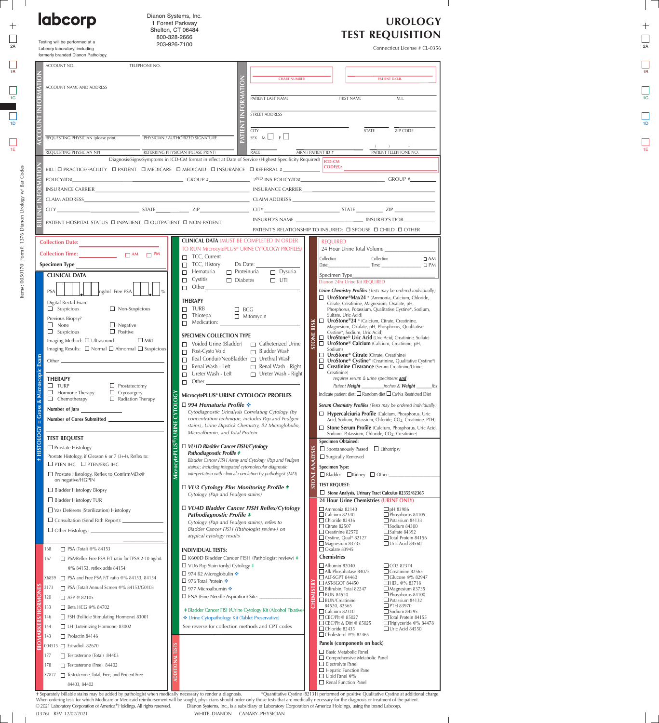| labcorp                                                                                 | Dianon Systems, Inc.<br>1 Forest Parkway<br>Shelton, CT 06484                                                                                                                                                                                                                                                                                                            |                                                                                                                        |                                                                                                                                      | <b>UROLOGY</b><br><b>TEST REQUISITION</b>                                |  |  |
|-----------------------------------------------------------------------------------------|--------------------------------------------------------------------------------------------------------------------------------------------------------------------------------------------------------------------------------------------------------------------------------------------------------------------------------------------------------------------------|------------------------------------------------------------------------------------------------------------------------|--------------------------------------------------------------------------------------------------------------------------------------|--------------------------------------------------------------------------|--|--|
| Testing will be performed at a                                                          | 800-328-2666<br>203-926-7100                                                                                                                                                                                                                                                                                                                                             |                                                                                                                        |                                                                                                                                      |                                                                          |  |  |
| Labcorp laboratory, including<br>formerly branded Dianon Pathology.                     |                                                                                                                                                                                                                                                                                                                                                                          |                                                                                                                        |                                                                                                                                      | Connecticut License # CL-0356                                            |  |  |
| ACCOUNT NO.                                                                             | TELEPHONE NO.                                                                                                                                                                                                                                                                                                                                                            |                                                                                                                        |                                                                                                                                      |                                                                          |  |  |
|                                                                                         |                                                                                                                                                                                                                                                                                                                                                                          | <b>CHART NUMBER</b>                                                                                                    |                                                                                                                                      | PATIENT D.O.B.                                                           |  |  |
| ACCOUNT NAME AND ADDRESS                                                                |                                                                                                                                                                                                                                                                                                                                                                          |                                                                                                                        |                                                                                                                                      |                                                                          |  |  |
|                                                                                         |                                                                                                                                                                                                                                                                                                                                                                          | PATIENT LAST NAME                                                                                                      | <b>FIRST NAME</b>                                                                                                                    | M.I.                                                                     |  |  |
|                                                                                         |                                                                                                                                                                                                                                                                                                                                                                          | STREET ADDRESS                                                                                                         |                                                                                                                                      |                                                                          |  |  |
|                                                                                         |                                                                                                                                                                                                                                                                                                                                                                          | <b>CITY</b>                                                                                                            | <b>STATE</b>                                                                                                                         | ZIP CODE                                                                 |  |  |
| REQUESTING PHYSICIAN (please print)                                                     | PHYSICIAN / AUTHORIZED SIGNATURE                                                                                                                                                                                                                                                                                                                                         | SEX M F                                                                                                                |                                                                                                                                      |                                                                          |  |  |
| REQUESTING PHYSICIAN NPI                                                                | REFERRING PHYSICIAN (PLEASE PRINT)<br>Diagnosis/Signs/Symptoms in ICD-CM format in effect at Date of Service (Highest Specificity Required)                                                                                                                                                                                                                              | <b>RACE</b>                                                                                                            | MRN / PATIENT ID #                                                                                                                   | PATIENT TELEPHONE NO.                                                    |  |  |
|                                                                                         | BILL: $\Box$ PRACTICE/FACILITY $\Box$ PATIENT $\Box$ MEDICARE $\Box$ MEDICAID $\Box$ INSURANCE $\Box$ REFERRAL #                                                                                                                                                                                                                                                         |                                                                                                                        | CODE(S):                                                                                                                             |                                                                          |  |  |
|                                                                                         | $POLICY/ID#$ GROUP # $2^{ND} INS$ POLICY/ID# $T = 2^{ND} INS$ POLICY/ID# $T = 2^{ND} INS$ POLICY/ID# $T = 2^{ND} INS$ POLICY/ID# $T = 2^{ND} INS$ POLICY/ID# $T = 2^{ND} INS$                                                                                                                                                                                            |                                                                                                                        |                                                                                                                                      |                                                                          |  |  |
|                                                                                         | CLAIM ADDRESS CONTROL CONTROL CONTROL CONTROL CONTROL CONTROL CONTROL CONTROL CONTROL CONTROL CONTROL CONTROL CONTROL CONTROL CONTROL CONTROL CONTROL CONTROL CONTROL CONTROL CONTROL CONTROL CONTROL CONTROL CONTROL CONTROL                                                                                                                                            |                                                                                                                        |                                                                                                                                      |                                                                          |  |  |
| CITY                                                                                    | $\overline{S}$ STATE $\overline{S}$ STATE $\overline{S}$ $\overline{S}$ $\overline{S}$ $\overline{S}$ $\overline{S}$ $\overline{S}$ $\overline{S}$ $\overline{S}$ $\overline{S}$ $\overline{S}$ $\overline{S}$ $\overline{S}$ $\overline{S}$ $\overline{S}$ $\overline{S}$ $\overline{S}$ $\overline{S}$ $\overline{S}$ $\overline{S}$ $\overline{S}$ $\overline{S}$ $\$ |                                                                                                                        |                                                                                                                                      |                                                                          |  |  |
|                                                                                         | PATIENT HOSPITAL STATUS □ INPATIENT □ OUTPATIENT □ NON-PATIENT                                                                                                                                                                                                                                                                                                           |                                                                                                                        | INSURED'S NAME INSURED'S DOB                                                                                                         |                                                                          |  |  |
|                                                                                         |                                                                                                                                                                                                                                                                                                                                                                          | <b>CLINICAL DATA (MUST BE COMPLETED IN ORDER</b>                                                                       | PATIENT'S RELATIONSHIP TO INSURED: □ SPOUSE □ CHILD □ OTHER                                                                          |                                                                          |  |  |
| <b>Collection Date:</b>                                                                 |                                                                                                                                                                                                                                                                                                                                                                          | TO RUN MicrocytePLUS® URINE CYTOLOGY PROFILES)                                                                         | <b>REOUIRED</b><br>24 Hour Urine Total Volume                                                                                        |                                                                          |  |  |
| <b>Specimen Type</b>                                                                    | $\Box$ TCC, Current<br>$\Box$ TCC, History                                                                                                                                                                                                                                                                                                                               | Dx Date:                                                                                                               | Collection<br>Collection<br>Time:<br>Date:                                                                                           | $\Box$ AM<br>$\square$ PM                                                |  |  |
| <b>CLINICAL DATA</b>                                                                    | Hematuria<br>$\Box$<br>Cystitis<br>$\Box$                                                                                                                                                                                                                                                                                                                                | $\Box$ Proteinuria<br>$\Box$ Dysuria<br>$\Box$ UTI<br>$\Box$ Diabetes                                                  | Specimen Type_                                                                                                                       |                                                                          |  |  |
| <b>PSA</b><br>Free PSA                                                                  | $\Box$ Other                                                                                                                                                                                                                                                                                                                                                             |                                                                                                                        | Dianon 24hr Urine Kit REQUIRED<br>Urine Chemistry Profiles (Tests may be ordered individually)                                       |                                                                          |  |  |
| Digital Rectal Exam                                                                     | <b>THERAPY</b>                                                                                                                                                                                                                                                                                                                                                           |                                                                                                                        | □ UroStone®Max24 * (Ammonia, Calcium, Chloride,<br>Citrate, Creatinine, Magnesium, Oxalate, pH,                                      |                                                                          |  |  |
| $\Box$ Suspicious<br>Previous Biopsy?                                                   | $\Box$ TURB<br>$\Box$ Non-Suspicious<br>$\Box$ Thiotepa                                                                                                                                                                                                                                                                                                                  | $\Box$ BCG<br>$\Box$ Mitomycin                                                                                         | Phosphorus, Potassium, Qualitative Cystine*, Sodium,<br>Sulfate, Uric Acid)<br>$\Box$ UroStone®24 * (Calcium, Citrate, Creatinine,   |                                                                          |  |  |
| $\Box$ Negative<br>None<br>$\Box$ Suspicious<br>$\Box$ Positive                         | $\Box$ Medication:                                                                                                                                                                                                                                                                                                                                                       |                                                                                                                        | <b>RISK</b><br>Magnesium, Oxalate, pH, Phosphorus, Qualitative<br>Cystine*, Sodium, Uric Acid)                                       |                                                                          |  |  |
| Imaging Method: □ Ultrasound                                                            | <b>SPECIMEN COLLECTION TYPE</b><br>$\Box$ MRI<br>$\Box$ Voided Urine (Bladder)                                                                                                                                                                                                                                                                                           | $\Box$ Catheterized Urine                                                                                              | <i>Z</i><br><i>Divestone® Uric Acid (Uric Acid, Creatinine, Sulfate)</i><br><i>G</i><br><i>C</i><br><i>Codium</i> )<br><i>Codium</i> |                                                                          |  |  |
| Imaging Results: $\Box$ Normal $\Box$ Abnormal $\Box$ Suspicious                        | Post-Cysto Void<br>□ Ileal Conduit/NeoBladder □ Urethral Wash                                                                                                                                                                                                                                                                                                            | □ Bladder Wash                                                                                                         | Sodium)<br>□ UroStone® Citrate (Citrate, Creatinine)                                                                                 |                                                                          |  |  |
| Other $\equiv$                                                                          | Renal Wash - Left                                                                                                                                                                                                                                                                                                                                                        | Renal Wash - Right                                                                                                     | □ UroStone® Cystine* (Creatinine, Qualitative Cystine*)<br>Creatinine Clearance (Serum Creatinine/Urine<br>Creatinine)               |                                                                          |  |  |
| <b>THERAPY</b><br>$\Box$ Prostatectomy<br>$\square$ TURP                                | $\Box$ Ureter Wash - Left<br>$\Box$ Other                                                                                                                                                                                                                                                                                                                                | $\Box$ Ureter Wash - Right                                                                                             | requires serum & urine specimens and                                                                                                 |                                                                          |  |  |
| $\Box$ Hormone Therapy<br>$\Box$ Cryosurgery                                            | MicrocytePLUS® URINE CYTOLOGY PROFILES<br>$\Box$ Radiation Therapy                                                                                                                                                                                                                                                                                                       |                                                                                                                        | Patient Height<br>Indicate patient diet: $\square$ Random diet $\square$ Ca/Na Restricted Diet                                       | _inches & <b>Weight</b><br>_lbs                                          |  |  |
| $\Box$ Chemotherapy<br>Number of Jars                                                   | <b>CYTOL</b><br>□ 994 Hematuria Profile $\cdot\cdot$                                                                                                                                                                                                                                                                                                                     |                                                                                                                        | Serum Chemistry Profiles (Tests may be ordered individually)                                                                         |                                                                          |  |  |
| Number of Cores Submitted                                                               |                                                                                                                                                                                                                                                                                                                                                                          | Cytodiagnostic Urinalysis Correlating Cytology (by<br>concentration technique, includes Pap and Feulgen                | Hypercalciuria Profile (Calcium, Phosphorus, Uric<br>Acid, Sodium, Potassium, Chloride, CO <sub>2</sub> , Creatinine, PTH)           |                                                                          |  |  |
|                                                                                         | <b>RINE</b><br>Microalbumin, and Total Protein                                                                                                                                                                                                                                                                                                                           | stains), Urine Dipstick Chemistry, ß2 Microglobulin,                                                                   | Stone Serum Profile (Calcium, Phosphorus, Uric Acid,<br>Sodium, Potassium, Chloride, CO <sub>2</sub> , Creatinine)                   |                                                                          |  |  |
| <b>TEST REQUEST</b><br>$\Box$ Prostate Histology                                        | □ VU1D Bladder Cancer FISH/Cytology                                                                                                                                                                                                                                                                                                                                      |                                                                                                                        | <b>Specimen Obtained:</b><br>$\Box$ Spontaneously Passed $\Box$ Lithotripsy                                                          |                                                                          |  |  |
| Prostate Histology, if Gleason 6 or 7 (3+4), Reflex to:                                 | <b>Pathodiagnostic Profile #</b>                                                                                                                                                                                                                                                                                                                                         | Bladder Cancer FISH Assay and Cytology (Pap and Feulgen                                                                | $\Box$ Surgically Removed                                                                                                            |                                                                          |  |  |
| $\Box$ PTEN IHC $\Box$ PTEN/ERG IHC<br>$\Box$ Prostate Histology, Reflex to ConfirmMDx@ |                                                                                                                                                                                                                                                                                                                                                                          | stains); including integrated cytomolecular diagnostic<br>interpretation with clinical correlation by pathologist (MD) | <b>Specimen Type:</b><br>$\Box$ Bladder $\Box$ Kidney $\Box$ Other:                                                                  |                                                                          |  |  |
| on negative/HGPIN                                                                       | $\Box$ VU3 Cytology Plus Monitoring Profile $\ddagger$                                                                                                                                                                                                                                                                                                                   |                                                                                                                        | TONE<br><b>TEST REQUEST:</b>                                                                                                         |                                                                          |  |  |
| $\Box$ Bladder Histology Biopsy<br>$\Box$ Bladder Histology TUR                         | Cytology (Pap and Feulgen stains)                                                                                                                                                                                                                                                                                                                                        |                                                                                                                        | Stone Analysis, Urinary Tract Calculus 82355/82365<br>24 Hour Urine Chemistries (URINE ONLY)                                         |                                                                          |  |  |
| $\Box$ Vas Deferens (Sterilization) Histology                                           |                                                                                                                                                                                                                                                                                                                                                                          | □ VU4D Bladder Cancer FISH Reflex/Cytology                                                                             | $\Box$ Ammonia 82140<br>$\Box$ Calcium 82340                                                                                         | $\Box$ pH 83986<br>$\Box$ Phosphorus 84105                               |  |  |
| $\Box$ Consultation (Send Path Report):                                                 | Pathodiagnostic Profile #<br>Cytology (Pap and Feulgen stains), reflex to                                                                                                                                                                                                                                                                                                |                                                                                                                        | $\Box$ Chloride 82436<br>$\Box$ Citrate 82507                                                                                        | $\Box$ Potassium 84133<br>$\Box$ Sodium 84300                            |  |  |
| $\Box$ Other Histology:                                                                 | Bladder Cancer FISH (Pathologist review) on<br>atypical cytology results                                                                                                                                                                                                                                                                                                 |                                                                                                                        | $\Box$ Creatinine 82570<br>$\Box$ Cystine, Qual* 82127                                                                               | $\Box$ Sulfate 84392<br>Total Protein 84156                              |  |  |
| $\Box$ PSA (Total) @% 84153<br>168                                                      | <b>INDIVIDUAL TESTS:</b>                                                                                                                                                                                                                                                                                                                                                 |                                                                                                                        | $\Box$ Magnesium 83735<br>$\Box$ Oxalate 83945                                                                                       | $\Box$ Uric Acid 84560                                                   |  |  |
| □ PSA/Reflex Free PSA F/T ratio for TPSA 2-10 ng/mL<br>167                              | $\Box$ VU6 Pap Stain (only) Cytology $\ddagger$                                                                                                                                                                                                                                                                                                                          | $\Box$ K600D Bladder Cancer FISH (Pathologist review) $\ddagger$                                                       | <b>Chemistries</b><br>$\Box$ Albumin 82040                                                                                           | □ CO <sub>2</sub> 82374                                                  |  |  |
| @% 84153, reflex adds 84154<br>X6859 □ PSA and Free PSA F/T ratio @% 84153, 84154       | □ 974 ß2 Microglobulin $\cdot$                                                                                                                                                                                                                                                                                                                                           |                                                                                                                        | $\Box$ Alk Phosphatase 84075<br>$\Box$ ALT-SGPT 84460                                                                                | $\Box$ Creatinine 82565<br>$\Box$ Glucose @% 82947                       |  |  |
| 2173 • PSA (Total) Annual Screen @% 84153/G0103                                         | □ 976 Total Protein $\cdot\cdot$<br>□ 977 Microalbumin $\cdot$                                                                                                                                                                                                                                                                                                           |                                                                                                                        | $\square$ AST-SGOT 84450<br>$\Box$ Bilirubin, Total 82247                                                                            | □HDL @% 83718<br>$\Box$ Magnesium 83735                                  |  |  |
| □ AFP @ 82105<br>120                                                                    | $\Box$ FNA (Fine Needle Aspiration) Site: $\Box$                                                                                                                                                                                                                                                                                                                         |                                                                                                                        | $\Box$ BUN 84520<br>$\Box$ BUN/Creatinine                                                                                            | Phosphorus 84100<br>$\Box$ Potassium 84132                               |  |  |
| □ Beta HCG @% 84702<br>133<br>FSH (Follicle Stimulating Hormone) 83001<br>146           | Urine Cytopathology Kit (Tablet Preservative)                                                                                                                                                                                                                                                                                                                            | # Bladder Cancer FISH/Urine Cytology Kit (Alcohol Fixative)                                                            | 84520, 82565<br>$\Box$ Calcium 82310<br>$\Box$ CBC/Plt @ 85027                                                                       | $\square$ PTH 83970<br>$\Box$ Sodium 84295<br>$\Box$ Total Protein 84155 |  |  |
| LH (Luteinizing Hormone) 83002<br>144                                                   |                                                                                                                                                                                                                                                                                                                                                                          | See reverse for collection methods and CPT codes                                                                       | $\Box$ CBC/Plt & Diff @ 85025<br>$\Box$ Chloride 82435                                                                               | $\Box$ Triglyceride @% 84478<br>$\Box$ Uric Acid 84550                   |  |  |
| 143<br>$\Box$ Prolactin 84146                                                           |                                                                                                                                                                                                                                                                                                                                                                          |                                                                                                                        | $\Box$ Cholesterol @% 82465                                                                                                          |                                                                          |  |  |
| 004515   Estradiol 82670                                                                |                                                                                                                                                                                                                                                                                                                                                                          |                                                                                                                        | Panels (components on back)<br>$\Box$ Basic Metabolic Panel                                                                          |                                                                          |  |  |
| $177$ Testosterone (Total) 84403<br>178<br>$\Box$ Testosterone (Free) 84402             |                                                                                                                                                                                                                                                                                                                                                                          |                                                                                                                        | $\Box$ Comprehensive Metabolic Panel<br>$\Box$ Electrolyte Panel                                                                     |                                                                          |  |  |
| X7877 <del>□</del> Testosterone, Total, Free, and Percent Free                          |                                                                                                                                                                                                                                                                                                                                                                          |                                                                                                                        | $\Box$ Hepatic Function Panel<br>$\Box$ Lipid Panel @%                                                                               |                                                                          |  |  |
| 84403, 84402                                                                            |                                                                                                                                                                                                                                                                                                                                                                          |                                                                                                                        | $\Box$ Renal Function Panel                                                                                                          |                                                                          |  |  |

 $\overline{\phantom{a}}$ 

 $\mathbb{R}$ 

 $\mathbf{I}$ 

 $\qquad \qquad +$ 

WHITE–DIANON CANARY–PHYSICIAN © 2021 Laboratory Corporation of America*®* Holdings. All rights reserved. Dianon Systems, Inc., is a subsidiary of Laboratory Corporation of America Holdings, using the brand Labcorp. (1376) REV. 12/02/2021 *†* Separately billable stains may be added by pathologist when medically necessary to render a diagnosis. When ordering tests for which Medicare or Medicaid reimbursement will be sought, physicians should order only those tests that are medically necessary for the diagnosis or treatment of the patient. \*Quantitative Cystine (82131) performed on positive Qualitative Cystine at additional charge.

 $\perp$